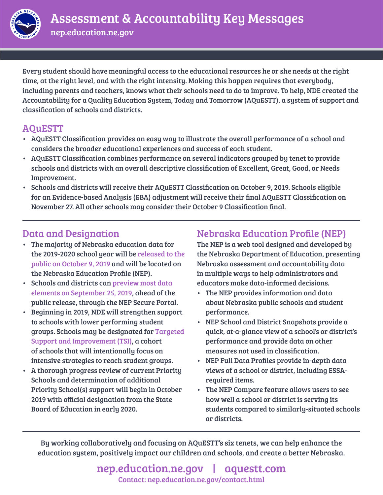

Every student should have meaningful access to the educational resources he or she needs at the right time, at the right level, and with the right intensity. Making this happen requires that everybody, including parents and teachers, knows what their schools need to do to improve. To help, NDE created the Accountability for a Quality Education System, Today and Tomorrow (AQuESTT), a system of support and classification of schools and districts.

## AQuESTT

- AQuESTT Classification provides an easy way to illustrate the overall performance of a school and considers the broader educational experiences and success of each student.
- AQuESTT Classification combines performance on several indicators grouped by tenet to provide schools and districts with an overall descriptive classification of Excellent, Great, Good, or Needs Improvement.
- Schools and districts will receive their AQuESTT Classification on October 9, 2019. Schools eligible for an Evidence-based Analysis (EBA) adjustment will receive their final AQuESTT Classification on November 27. All other schools may consider their October 9 Classification final.

## Data and Designation

- The majority of Nebraska education data for the 2019-2020 school year will be released to the public on October 9, 2019 and will be located on the Nebraska Education Profile (NEP).
- Schools and districts can preview most data elements on September 25, 2019, ahead of the public release, through the NEP Secure Portal.
- Beginning in 2019, NDE will strengthen support to schools with lower performing student groups. Schools may be designated for Targeted Support and Improvement (TSI), a cohort of schools that will intentionally focus on intensive strategies to reach student groups.
- A thorough progress review of current Priority Schools and determination of additional Priority School(s) support will begin in October 2019 with official designation from the State Board of Education in early 2020.

## Nebraska Education Profile (NEP)

The NEP is a web tool designed and developed by the Nebraska Department of Education, presenting Nebraska assessment and accountability data in multiple ways to help administrators and educators make data-informed decisions.

- The NEP provides information and data about Nebraska public schools and student performance.
- NEP School and District Snapshots provide a quick, at-a-glance view of a school's or district's performance and provide data on other measures not used in classification.
- NEP Full Data Profiles provide in-depth data views of a school or district, including ESSArequired items.
- The NEP Compare feature allows users to see how well a school or district is serving its students compared to similarly-situated schools or districts.

By working collaboratively and focusing on AQuESTT's six tenets, we can help enhance the education system, positively impact our children and schools, and create a better Nebraska.

> [nep.education.ne.gov](https://nep.education.ne.gov/) | [aquestt.com](https://aquestt.com/) [Contact: nep.education.ne.gov/contact.html](https://nep.education.ne.gov/contact.html)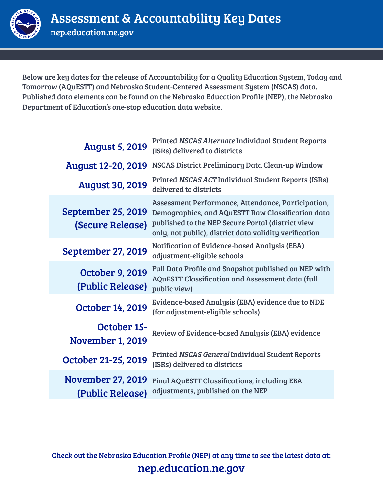

Below are key dates for the release of Accountability for a Quality Education System, Today and Tomorrow (AQuESTT) and Nebraska Student-Centered Assessment System (NSCAS) data. Published data elements can be found on the Nebraska Education Profile (NEP), the Nebraska Department of Education's one-stop education data website.

| <b>August 5, 2019</b>                         | Printed NSCAS Alternate Individual Student Reports<br>(ISRs) delivered to districts                                                                                                                                    |  |
|-----------------------------------------------|------------------------------------------------------------------------------------------------------------------------------------------------------------------------------------------------------------------------|--|
| <b>August 12-20, 2019</b>                     | NSCAS District Preliminary Data Clean-up Window                                                                                                                                                                        |  |
| <b>August 30, 2019</b>                        | Printed NSCAS ACT Individual Student Reports (ISRs)<br>delivered to districts                                                                                                                                          |  |
| <b>September 25, 2019</b><br>(Secure Release) | Assessment Performance, Attendance, Participation,<br>Demographics, and AQuESTT Raw Classification data<br>published to the NEP Secure Portal (district view<br>only, not public), district data validity verification |  |
| <b>September 27, 2019</b>                     | Notification of Evidence-based Analysis (EBA)<br>adjustment-eligible schools                                                                                                                                           |  |
| <b>October 9, 2019</b><br>(Public Release)    | Full Data Profile and Snapshot published on NEP with<br><b>AQuESTT Classification and Assessment data (full</b><br>public view)                                                                                        |  |
| <b>October 14, 2019</b>                       | Evidence-based Analysis (EBA) evidence due to NDE<br>(for adjustment-eligible schools)                                                                                                                                 |  |
| <b>October 15-</b><br><b>November 1, 2019</b> | Review of Evidence-based Analysis (EBA) evidence                                                                                                                                                                       |  |
| October 21-25, 2019                           | Printed NSCAS General Individual Student Reports<br>(ISRs) delivered to districts                                                                                                                                      |  |
| <b>November 27, 2019</b><br>(Public Release)  | <b>Final AQuESTT Classifications, including EBA</b><br>adjustments, published on the NEP                                                                                                                               |  |

Check out the Nebraska Education Profile (NEP) at any time to see the latest data at: <nep.education.ne.gov>